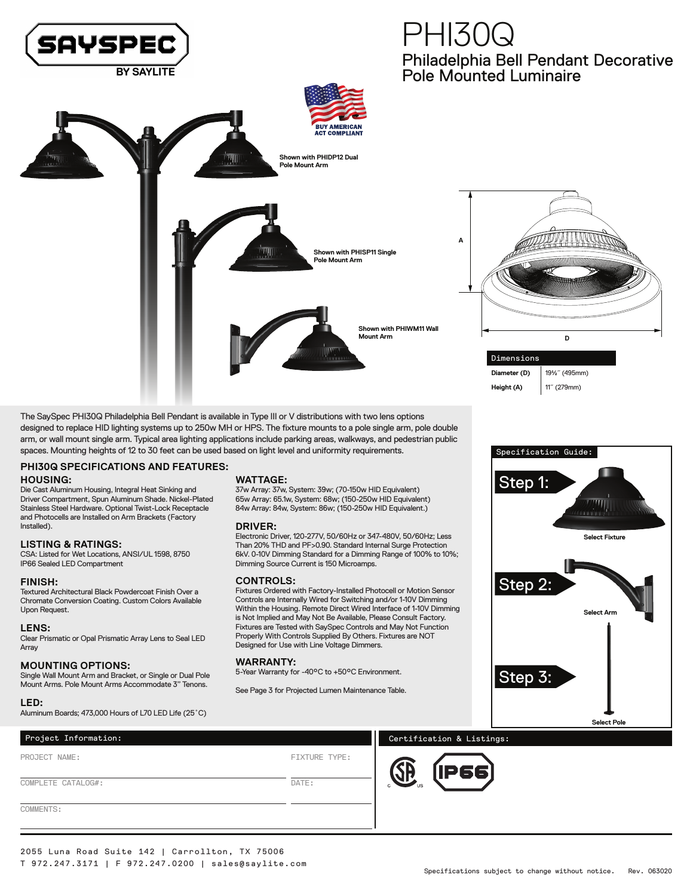

# Philadelphia Bell Pendant Decorative Pole Mounted Luminaire PHI30Q



Dimensions **Diameter (D)** 19½˝ (495mm) **Height (A)** 11˝ (279mm)

The SaySpec PHI30Q Philadelphia Bell Pendant is available in Type III or V distributions with two lens options designed to replace HID lighting systems up to 250w MH or HPS. The fixture mounts to a pole single arm, pole double arm, or wall mount single arm. Typical area lighting applications include parking areas, walkways, and pedestrian public spaces. Mounting heights of 12 to 30 feet can be used based on light level and uniformity requirements.

## **PHI30Q SPECIFICATIONS AND FEATURES:**

#### **HOUSING:**

Die Cast Aluminum Housing, Integral Heat Sinking and Driver Compartment, Spun Aluminum Shade. Nickel-Plated Stainless Steel Hardware. Optional Twist-Lock Receptacle and Photocells are Installed on Arm Brackets (Factory Installed).

#### **LISTING & RATINGS:**

CSA: Listed for Wet Locations, ANSI/UL 1598, 8750 IP66 Sealed LED Compartment

#### **FINISH:**

Textured Architectural Black Powdercoat Finish Over a Chromate Conversion Coating. Custom Colors Available Upon Request.

#### **LENS:**

Clear Prismatic or Opal Prismatic Array Lens to Seal LED Array

#### **MOUNTING OPTIONS:**

Single Wall Mount Arm and Bracket, or Single or Dual Pole Mount Arms. Pole Mount Arms Accommodate 3" Tenons.

#### **LED:**

COMMENTS:

Aluminum Boards; 473,000 Hours of L70 LED Life (25˚C)

### **WATTAGE:**

37w Array: 37w, System: 39w; (70-150w HID Equivalent) 65w Array: 65.1w, System: 68w; (150-250w HID Equivalent) 84w Array: 84w, System: 86w; (150-250w HID Equivalent.)

#### **DRIVER:**

Electronic Driver, 120-277V, 50/60Hz or 347-480V, 50/60Hz; Less Than 20% THD and PF>0.90. Standard Internal Surge Protection 6kV. 0-10V Dimming Standard for a Dimming Range of 100% to 10%; Dimming Source Current is 150 Microamps.

#### **CONTROLS:**

Fixtures Ordered with Factory-Installed Photocell or Motion Sensor Controls are Internally Wired for Switching and/or 1-10V Dimming Within the Housing. Remote Direct Wired Interface of 1-10V Dimming is Not Implied and May Not Be Available, Please Consult Factory. Fixtures are Tested with SaySpec Controls and May Not Function Properly With Controls Supplied By Others. Fixtures are NOT Designed for Use with Line Voltage Dimmers.

#### **WARRANTY:**

5-Year Warranty for -40°C to +50°C Environment.

See Page 3 for Projected Lumen Maintenance Table.



## Project Information: The contraction of the certification & Listings:

PROJECT NAME: COMPLETE CATALOG#: FIXTURE TYPE:

DATE:



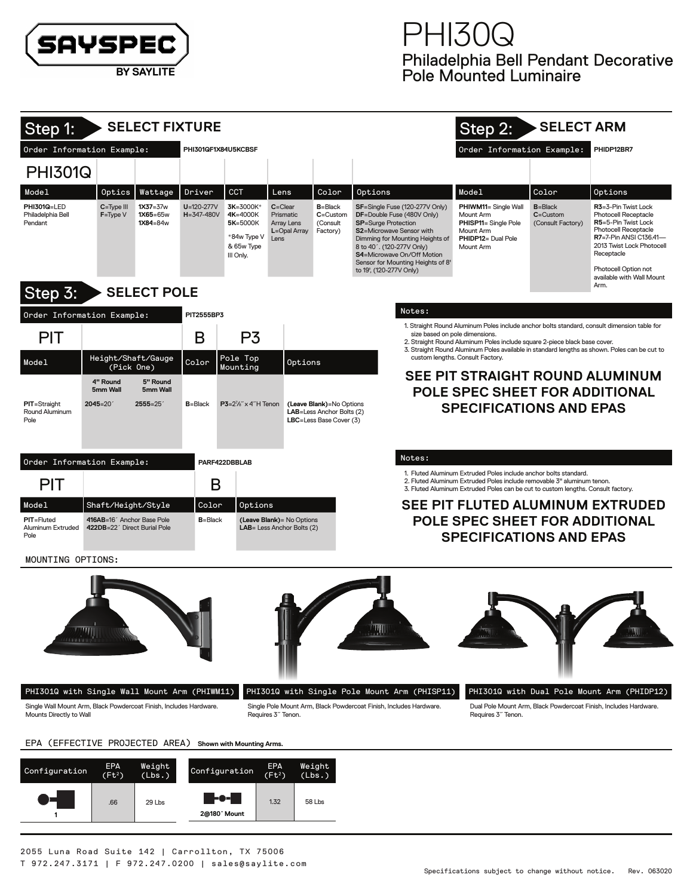

| Step 1:                                                                                                                                                                   |                                          | <b>SELECT FIXTURE</b>                    |                                      |                                                                             |                                                                        |                                                      |                                                                                                                                                                                                                                                                                       | Step 2:                                                                                                                                                                                                                        | <b>SELECT ARM</b>                                                                                                                                                                                           |                                                                                                                |  |  |  |
|---------------------------------------------------------------------------------------------------------------------------------------------------------------------------|------------------------------------------|------------------------------------------|--------------------------------------|-----------------------------------------------------------------------------|------------------------------------------------------------------------|------------------------------------------------------|---------------------------------------------------------------------------------------------------------------------------------------------------------------------------------------------------------------------------------------------------------------------------------------|--------------------------------------------------------------------------------------------------------------------------------------------------------------------------------------------------------------------------------|-------------------------------------------------------------------------------------------------------------------------------------------------------------------------------------------------------------|----------------------------------------------------------------------------------------------------------------|--|--|--|
| Order Information Example:                                                                                                                                                |                                          |                                          | PHI301QF1X84U5KCBSF                  |                                                                             |                                                                        |                                                      |                                                                                                                                                                                                                                                                                       | Order Information Example:<br>PHIDP12BR7                                                                                                                                                                                       |                                                                                                                                                                                                             |                                                                                                                |  |  |  |
|                                                                                                                                                                           |                                          |                                          |                                      |                                                                             |                                                                        |                                                      |                                                                                                                                                                                                                                                                                       |                                                                                                                                                                                                                                |                                                                                                                                                                                                             |                                                                                                                |  |  |  |
| <b>PHI301Q</b>                                                                                                                                                            |                                          |                                          |                                      |                                                                             |                                                                        |                                                      |                                                                                                                                                                                                                                                                                       |                                                                                                                                                                                                                                |                                                                                                                                                                                                             |                                                                                                                |  |  |  |
| Model                                                                                                                                                                     | Optics                                   | Wattage                                  | Driver                               | <b>CCT</b>                                                                  | Lens                                                                   | Color                                                | Options                                                                                                                                                                                                                                                                               | Model                                                                                                                                                                                                                          | Color<br>$B = Black$                                                                                                                                                                                        | Options<br>R3=3-Pin Twist Lock                                                                                 |  |  |  |
| PHI301Q=LED<br>Philadelphia Bell<br>Pendant                                                                                                                               | C=Type III<br>$F = Type V$               | $1X37 = 37w$<br>$1X65 = 65w$<br>1X84=84w | $U = 120 - 277V$<br>$H = 347 - 480V$ | 3K=3000K*<br>4K=4000K<br>5K=5000K<br>*84w Type V<br>& 65w Type<br>III Only. | $C = C$ lear<br>Prismatic<br><b>Array Lens</b><br>L=Opal Array<br>Lens | $B = Black$<br>$C =$ Custom<br>(Consult<br>Factory)  | SF=Single Fuse (120-277V Only)<br>DF=Double Fuse (480V Only)<br><b>SP</b> =Surge Protection<br>S2=Microwave Sensor with<br>Dimming for Mounting Heights of<br>8 to 40'. (120-277V Only)<br>S4=Microwave On/Off Motion<br>Sensor for Mounting Heights of 8'<br>to 19', (120-277V Only) | PHIWM11= Single Wall<br><b>Mount Arm</b><br>PHISP11= Single Pole<br><b>Mount Arm</b><br>PHIDP12= Dual Pole<br><b>Mount Arm</b>                                                                                                 | <b>Photocell Receptacle</b><br>R5=5-Pin Twist Lock<br><b>Photocell Receptacle</b><br>R7=7-Pin ANSI C136.41-<br>2013 Twist Lock Photocell<br>Receptacle<br>Photocell Option not<br>available with Wall Mount |                                                                                                                |  |  |  |
| Arm.<br><b>SELECT POLE</b><br>Step 3:                                                                                                                                     |                                          |                                          |                                      |                                                                             |                                                                        |                                                      |                                                                                                                                                                                                                                                                                       |                                                                                                                                                                                                                                |                                                                                                                                                                                                             |                                                                                                                |  |  |  |
| Notes:<br>Order Information Example:<br>PIT2555BP3                                                                                                                        |                                          |                                          |                                      |                                                                             |                                                                        |                                                      |                                                                                                                                                                                                                                                                                       |                                                                                                                                                                                                                                |                                                                                                                                                                                                             |                                                                                                                |  |  |  |
| <b>PIT</b>                                                                                                                                                                |                                          |                                          | B                                    | P <sub>3</sub>                                                              |                                                                        |                                                      | size based on pole dimensions.                                                                                                                                                                                                                                                        | 1. Straight Round Aluminum Poles include anchor bolts standard, consult dimension table for<br>2. Straight Round Aluminum Poles include square 2-piece black base cover.                                                       |                                                                                                                                                                                                             |                                                                                                                |  |  |  |
| Model                                                                                                                                                                     | Height/Shaft/Gauge<br>(Pick One)         |                                          | Color                                | Pole Top<br>Mounting                                                        | Options                                                                |                                                      |                                                                                                                                                                                                                                                                                       | custom lengths. Consult Factory.                                                                                                                                                                                               |                                                                                                                                                                                                             | 3. Straight Round Aluminum Poles available in standard lengths as shown. Poles can be cut to                   |  |  |  |
|                                                                                                                                                                           | 4" Round                                 | 5" Round                                 |                                      |                                                                             |                                                                        |                                                      |                                                                                                                                                                                                                                                                                       | SEE PIT STRAIGHT ROUND ALUMINUM                                                                                                                                                                                                |                                                                                                                                                                                                             |                                                                                                                |  |  |  |
| <b>PIT=Straight</b>                                                                                                                                                       | 5mm Wall<br>$2045 = 20'$                 | 5mm Wall<br>$2555 = 25$                  | $B = Black$                          | $P3 = 2\%$ " x 4"H Tenon                                                    |                                                                        | (Leave Blank)=No Options                             |                                                                                                                                                                                                                                                                                       | <b>POLE SPEC SHEET FOR ADDITIONAL</b>                                                                                                                                                                                          |                                                                                                                                                                                                             |                                                                                                                |  |  |  |
| Round Aluminum<br>Pole                                                                                                                                                    |                                          |                                          |                                      |                                                                             |                                                                        | LAB=Less Anchor Bolts (2)<br>LBC=Less Base Cover (3) |                                                                                                                                                                                                                                                                                       | <b>SPECIFICATIONS AND EPAS</b>                                                                                                                                                                                                 |                                                                                                                                                                                                             |                                                                                                                |  |  |  |
|                                                                                                                                                                           |                                          |                                          |                                      |                                                                             |                                                                        |                                                      |                                                                                                                                                                                                                                                                                       |                                                                                                                                                                                                                                |                                                                                                                                                                                                             |                                                                                                                |  |  |  |
| Order Information Example:                                                                                                                                                |                                          |                                          |                                      | PARF422DBBLAB                                                               |                                                                        |                                                      | Notes:                                                                                                                                                                                                                                                                                |                                                                                                                                                                                                                                |                                                                                                                                                                                                             |                                                                                                                |  |  |  |
| <b>PIT</b>                                                                                                                                                                |                                          |                                          | B                                    |                                                                             |                                                                        |                                                      |                                                                                                                                                                                                                                                                                       | 1. Fluted Aluminum Extruded Poles include anchor bolts standard.<br>2. Fluted Aluminum Extruded Poles include removable 3" aluminum tenon.<br>3. Fluted Aluminum Extruded Poles can be cut to custom lengths. Consult factory. |                                                                                                                                                                                                             |                                                                                                                |  |  |  |
| Model                                                                                                                                                                     | Shaft/Height/Style                       |                                          | Color                                | Options                                                                     |                                                                        |                                                      |                                                                                                                                                                                                                                                                                       |                                                                                                                                                                                                                                |                                                                                                                                                                                                             | SEE PIT FLUTED ALUMINUM EXTRUDED                                                                               |  |  |  |
| <b>PIT=Fluted</b>                                                                                                                                                         | 416AB=16 <sup>2</sup> Anchor Base Pole   |                                          | <b>B</b> =Black                      |                                                                             | (Leave Blank) = No Options                                             |                                                      |                                                                                                                                                                                                                                                                                       | POLE SPEC SHEET FOR ADDITIONAL                                                                                                                                                                                                 |                                                                                                                                                                                                             |                                                                                                                |  |  |  |
| Aluminum Extruded<br>Pole                                                                                                                                                 | 422DB=22 <sup>'</sup> Direct Burial Pole |                                          |                                      |                                                                             | LAB= Less Anchor Bolts (2)                                             |                                                      |                                                                                                                                                                                                                                                                                       | <b>SPECIFICATIONS AND EPAS</b>                                                                                                                                                                                                 |                                                                                                                                                                                                             |                                                                                                                |  |  |  |
| MOUNTING OPTIONS:                                                                                                                                                         |                                          |                                          |                                      |                                                                             |                                                                        |                                                      |                                                                                                                                                                                                                                                                                       |                                                                                                                                                                                                                                |                                                                                                                                                                                                             |                                                                                                                |  |  |  |
| <b><i>Additional</i></b><br>PHI301Q with Single Wall Mount Arm (PHIWM11)<br>Single Wall Mount Arm. Black Powdercoat Finish, Includes Hardware.<br>Mounts Directly to Wall |                                          |                                          |                                      |                                                                             | Requires 3" Tenon.                                                     |                                                      | PHI301Q with Single Pole Mount Arm (PHISP11)<br>Single Pole Mount Arm. Black Powdercoat Finish, Includes Hardware.                                                                                                                                                                    | Requires 3" Tenon.                                                                                                                                                                                                             |                                                                                                                                                                                                             | PHI301Q with Dual Pole Mount Arm (PHIDP12)<br>Dual Pole Mount Arm, Black Powdercoat Finish, Includes Hardware. |  |  |  |

EPA (EFFECTIVE PROJECTED AREA) **Shown with Mounting Arms.** 

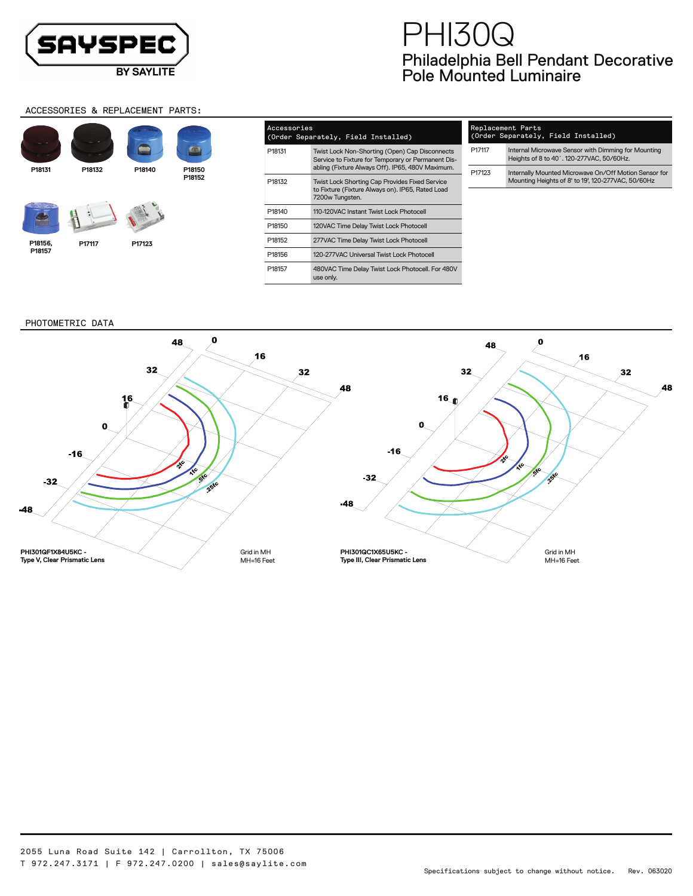T 972.247.3171 | F 972.247.0200 | sales@saylite.com

Philadelphia Bell Pendant Decorative Pole Mounted Luminaire PHI30Q

#### ACCESSORIES & REPLACEMENT PARTS:



| Accessories<br>(Order Separately, Field Installed) |                                                                                                                                                          |  |  |  |  |  |  |  |  |
|----------------------------------------------------|----------------------------------------------------------------------------------------------------------------------------------------------------------|--|--|--|--|--|--|--|--|
| P18131                                             | Twist Lock Non-Shorting (Open) Cap Disconnects<br>Service to Fixture for Temporary or Permanent Dis-<br>abling (Fixture Always Off). IP65, 480V Maximum. |  |  |  |  |  |  |  |  |
| P18132                                             | <b>Twist Lock Shorting Cap Provides Fixed Service</b><br>to Fixture (Fixture Always on), IP65, Rated Load<br>7200w Tungsten.                             |  |  |  |  |  |  |  |  |
| P18140                                             | 110-120VAC Instant Twist Lock Photocell                                                                                                                  |  |  |  |  |  |  |  |  |
| P18150                                             | 120VAC Time Delay Twist Lock Photocell                                                                                                                   |  |  |  |  |  |  |  |  |
| P18152                                             | 277VAC Time Delay Twist Lock Photocell                                                                                                                   |  |  |  |  |  |  |  |  |
| P18156                                             | 120-277VAC Universal Twist Lock Photocell                                                                                                                |  |  |  |  |  |  |  |  |
| P18157                                             | 480VAC Time Delay Twist Lock Photocell. For 480V<br>use only.                                                                                            |  |  |  |  |  |  |  |  |

# Replacement Parts (Order Separately, Field Installed) P17117 Internal Microwave Sensor with Dimming for Mounting Heights of 8 to 40´. 120-277VAC, 50/60Hz.

| P17123 | Internally Mounted Microwave On/Off Motion Sensor for |  |  |  |  |  |  |
|--------|-------------------------------------------------------|--|--|--|--|--|--|
|        | Mounting Heights of 8' to 19', 120-277VAC, 50/60Hz    |  |  |  |  |  |  |

PHOTOMETRIC DATA